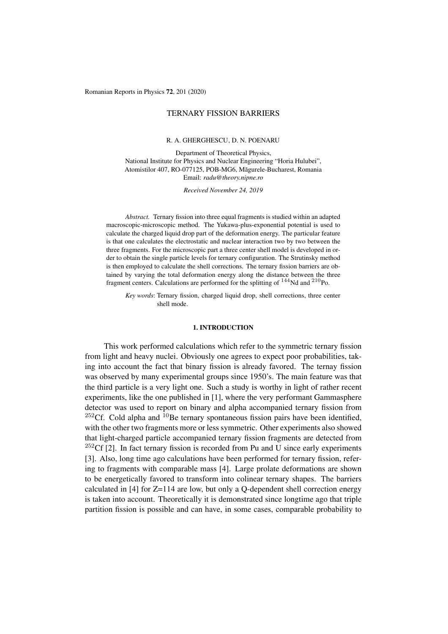Romanian Reports in Physics 72, 201 (2020)

# TERNARY FISSION BARRIERS

### R. A. GHERGHESCU, D. N. POENARU

Department of Theoretical Physics, National Institute for Physics and Nuclear Engineering "Horia Hulubei", Atomistilor 407, RO-077125, POB-MG6, Magurele-Bucharest, Romania ˘ Email: *radu@theory.nipne.ro*

*Received November 24, 2019*

*Abstract.* Ternary fission into three equal fragments is studied within an adapted macroscopic-microscopic method. The Yukawa-plus-exponential potential is used to calculate the charged liquid drop part of the deformation energy. The particular feature is that one calculates the electrostatic and nuclear interaction two by two between the three fragments. For the microscopic part a three center shell model is developed in order to obtain the single particle levels for ternary configuration. The Strutinsky method is then employed to calculate the shell corrections. The ternary fission barriers are obtained by varying the total deformation energy along the distance between the three fragment centers. Calculations are performed for the splitting of <sup>144</sup>Nd and <sup>210</sup>Po.

*Key words*: Ternary fission, charged liquid drop, shell corrections, three center shell mode.

### 1. INTRODUCTION

This work performed calculations which refer to the symmetric ternary fission from light and heavy nuclei. Obviously one agrees to expect poor probabilities, taking into account the fact that binary fission is already favored. The ternay fission was observed by many experimental groups since 1950's. The main feature was that the third particle is a very light one. Such a study is worthy in light of rather recent experiments, like the one published in [1], where the very performant Gammasphere detector was used to report on binary and alpha accompanied ternary fission from  $^{252}$ Cf. Cold alpha and  $^{10}$ Be ternary spontaneous fission pairs have been identified, with the other two fragments more or less symmetric. Other experiments also showed that light-charged particle accompanied ternary fission fragments are detected from  $252Cf$  [2]. In fact ternary fission is recorded from Pu and U since early experiments [3]. Also, long time ago calculations have been performed for ternary fission, refering to fragments with comparable mass [4]. Large prolate deformations are shown to be energetically favored to transform into colinear ternary shapes. The barriers calculated in [4] for Z=114 are low, but only a Q-dependent shell correction energy is taken into account. Theoretically it is demonstrated since longtime ago that triple partition fission is possible and can have, in some cases, comparable probability to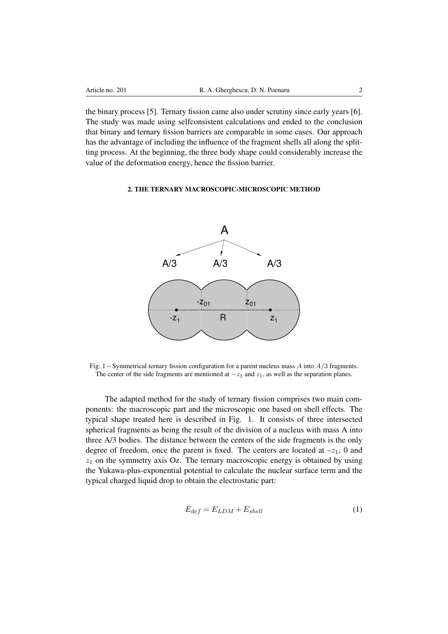the binary process [5]. Ternary fission came also under scrutiny since early years [6]. The study was made using selfconsistent calculations and ended to the conclusion that binary and ternary fission barriers are comparable in some cases. Our approach has the advantage of including the influence of the fragment shells all along the splitting process. At the beginning, the three body shape could considerably increase the value of the deformation energy, hence the fission barrier.

## 2. THE TERNARY MACROSCOPIC-MICROSCOPIC METHOD



Fig. 1 – Symmetrical ternary fission configuration for a parent nucleus mass *A* into *A/*3 fragments. The center of the side fragments are mentioned at  $-z_1$  and  $z_1$ , as well as the separation planes.

The adapted method for the study of ternary fission comprises two main components: the macroscopic part and the microscopic one based on shell effects. The typical shape treated here is described in Fig. 1. It consists of three intersected spherical fragments as being the result of the division of a nucleus with mass A into three A/3 bodies. The distance between the centers of the side fragments is the only degree of freedom, once the parent is fixed. The centers are located at  $-z_1$ , 0 and  $z<sub>1</sub>$  on the symmetry axis Oz. The ternary macroscopic energy is obtained by using the Yukawa-plus-exponential potential to calculate the nuclear surface term and the typical charged liquid drop to obtain the electrostatic part:

$$
E_{def} = E_{LDM} + E_{shell} \tag{1}
$$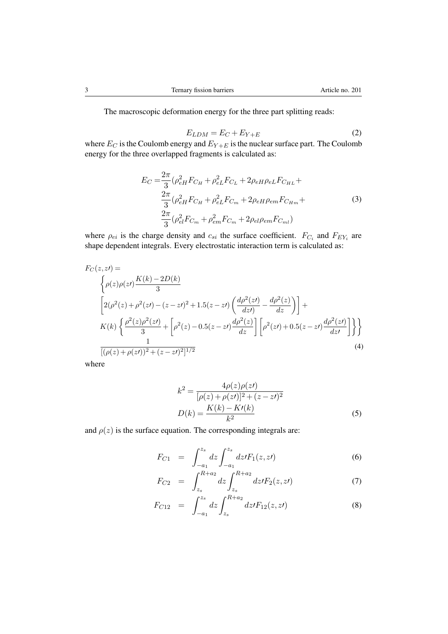The macroscopic deformation energy for the three part splitting reads:

$$
E_{LDM} = E_C + E_{Y+E}
$$
 (2)

where  $E_C$  is the Coulomb energy and  $E_{Y+E}$  is the nuclear surface part. The Coulomb energy for the three overlapped fragments is calculated as:

$$
E_C = \frac{2\pi}{3} (\rho_{eH}^2 F_{C_H} + \rho_{eL}^2 F_{C_L} + 2\rho_{eH}\rho_{eL} F_{C_{HL}} + \frac{2\pi}{3} (\rho_{eH}^2 F_{C_H} + \rho_{eL}^2 F_{C_m} + 2\rho_{eH}\rho_{em} F_{C_{Hm}} + \frac{2\pi}{3} (\rho_{eI}^2 F_{C_m} + \rho_{em}^2 F_{C_m} + 2\rho_{eI}\rho_{em} F_{C_{ml}})
$$
\n(3)

where  $\rho_{ei}$  is the charge density and  $c_{si}$  the surface coefficient.  $F_{C_i}$  and  $F_{EY_i}$  are shape dependent integrals. Every electrostatic interaction term is calculated as:

$$
F_C(z, zt) =
$$
\n
$$
\begin{cases}\n\rho(z)\rho(zt)\frac{K(k) - 2D(k)}{3} \\
2(\rho^2(z) + \rho^2(zt) - (z - zt)^2 + 1.5(z - zt)\left(\frac{d\rho^2(zt)}{dzt} - \frac{d\rho^2(z)}{dz}\right)\n\end{cases} + K(k)\left\{\frac{\rho^2(z)\rho^2(zt)}{3} + \left[\rho^2(z) - 0.5(z - zt)\frac{d\rho^2(z)}{dz}\right]\left[\rho^2(zt) + 0.5(z - zt)\frac{d\rho^2(zt)}{dzt}\right]\right\}
$$
\n
$$
\frac{1}{[(\rho(z) + \rho(zt))^2 + (z - zt)^2]^{1/2}}\n\tag{4}
$$

where

$$
k^{2} = \frac{4\rho(z)\rho(zt)}{[\rho(z) + \rho(zt)]^{2} + (z - zt)^{2}}
$$

$$
D(k) = \frac{K(k) - Kt(k)}{k^{2}}
$$
(5)

and  $\rho(z)$  is the surface equation. The corresponding integrals are:

$$
F_{C1} = \int_{-a_1}^{z_s} dz \int_{-a_1}^{z_s} dz / F_1(z, z') \tag{6}
$$

$$
F_{C2} = \int_{z_s}^{R+a_2} dz \int_{z_s}^{R+a_2} dz I F_2(z, zI) \tag{7}
$$

$$
F_{C12} = \int_{-a_1}^{z_s} dz \int_{z_s}^{R+a_2} dz I F_{12}(z, zI) \tag{8}
$$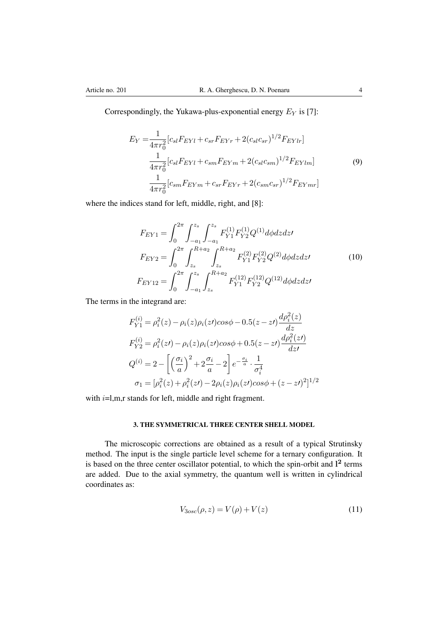Correspondingly, the Yukawa-plus-exponential energy *E<sup>Y</sup>* is [7]:

$$
E_Y = \frac{1}{4\pi r_0^2} [c_{sl}F_{EYl} + c_{sr}F_{EYr} + 2(c_{sl}c_{sr})^{1/2}F_{EYlr}]
$$
  

$$
\frac{1}{4\pi r_0^2} [c_{sl}F_{EYl} + c_{sm}F_{EYm} + 2(c_{sl}c_{sm})^{1/2}F_{EYlm}]
$$
  

$$
\frac{1}{4\pi r_0^2} [c_{sm}F_{EYm} + c_{sr}F_{EYr} + 2(c_{sm}c_{sr})^{1/2}F_{EYmr}]
$$
  
(9)

where the indices stand for left, middle, right, and [8]:

$$
F_{EY1} = \int_0^{2\pi} \int_{-a_1}^{z_s} \int_{-a_1}^{z_s} F_{Y1}^{(1)} F_{Y2}^{(1)} Q^{(1)} d\phi dz dz'
$$
  
\n
$$
F_{EY2} = \int_0^{2\pi} \int_{z_s}^{R+a_2} \int_{z_s}^{R+a_2} F_{Y1}^{(2)} F_{Y2}^{(2)} Q^{(2)} d\phi dz dz'
$$
(10)  
\n
$$
F_{EY12} = \int_0^{2\pi} \int_{-a_1}^{z_s} \int_{z_s}^{R+a_2} F_{Y1}^{(12)} F_{Y2}^{(12)} Q^{(12)} d\phi dz dz'
$$

The terms in the integrand are:

$$
F_{Y1}^{(i)} = \rho_i^2(z) - \rho_i(z)\rho_i(zt)\cos\phi - 0.5(z - zt)\frac{d\rho_i^2(z)}{dz}
$$
  
\n
$$
F_{Y2}^{(i)} = \rho_i^2(zt) - \rho_i(z)\rho_i(zt)\cos\phi + 0.5(z - zt)\frac{d\rho_i^2(zt)}{dzt}
$$
  
\n
$$
Q^{(i)} = 2 - \left[\left(\frac{\sigma_i}{a}\right)^2 + 2\frac{\sigma_i}{a} - 2\right]e^{-\frac{\sigma_i}{a}} \cdot \frac{1}{\sigma_i^4}
$$
  
\n
$$
\sigma_1 = [\rho_i^2(z) + \rho_i^2(zt) - 2\rho_i(z)\rho_i(zt)\cos\phi + (z - zt)^2]^{1/2}
$$

with *i*=l,m,r stands for left, middle and right fragment.

# 3. THE SYMMETRICAL THREE CENTER SHELL MODEL

The microscopic corrections are obtained as a result of a typical Strutinsky method. The input is the single particle level scheme for a ternary configuration. It is based on the three center oscillator potential, to which the spin-orbit and  $1<sup>2</sup>$  terms are added. Due to the axial symmetry, the quantum well is written in cylindrical coordinates as:

$$
V_{3osc}(\rho, z) = V(\rho) + V(z)
$$
\n<sup>(11)</sup>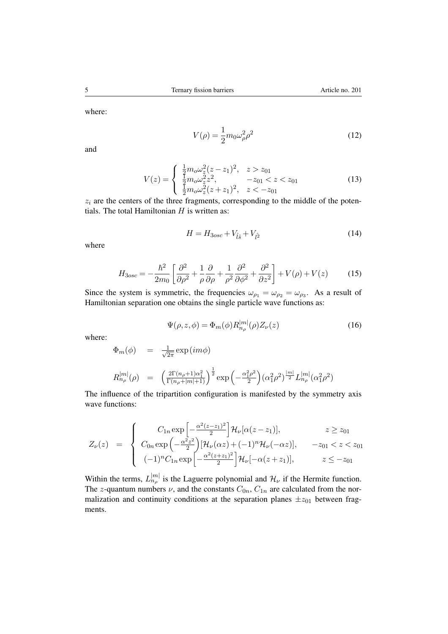where:

$$
V(\rho) = \frac{1}{2}m_0\omega_\rho^2\rho^2\tag{12}
$$

and

$$
V(z) = \begin{cases} \frac{1}{2} m_0 \omega_z^2 (z - z_1)^2, & z > z_{01} \\ \frac{1}{2} m_0 \omega_z^2 z^2, & -z_{01} < z < z_{01} \\ \frac{1}{2} m_0 \omega_z^2 (z + z_1)^2, & z < -z_{01} \end{cases} \tag{13}
$$

 $z_i$  are the centers of the three fragments, corresponding to the middle of the potentials. The total Hamiltonian *H* is written as:

$$
H = H_{3osc} + V_{\hat{l}\hat{s}} + V_{\hat{l}^2} \tag{14}
$$

where

$$
H_{3osc} = -\frac{\hbar^2}{2m_0} \left[ \frac{\partial^2}{\partial \rho^2} + \frac{1}{\rho} \frac{\partial}{\partial \rho} + \frac{1}{\rho^2} \frac{\partial^2}{\partial \phi^2} + \frac{\partial^2}{\partial z^2} \right] + V(\rho) + V(z) \tag{15}
$$

Since the system is symmetric, the frequencies  $\omega_{\rho_1} = \omega_{\rho_2} = \omega_{\rho_3}$ . As a result of Hamiltonian separation one obtains the single particle wave functions as:

$$
\Psi(\rho, z, \phi) = \Phi_m(\phi) R_{n_\rho}^{|m|}(\rho) Z_\nu(z)
$$
\n(16)

where:

$$
\Phi_m(\phi) = \frac{1}{\sqrt{2\pi}} \exp(im\phi)
$$
  
\n
$$
R_{n_\rho}^{|m|}(\rho) = \left(\frac{2\Gamma(n_\rho+1)\alpha_1^2}{\Gamma(n_\rho+|m|+1)}\right)^{\frac{1}{2}} \exp\left(-\frac{\alpha_1^2\rho^2}{2}\right) (\alpha_1^2\rho^2)^{\frac{|m|}{2}} L_{n_\rho}^{|m|}(\alpha_1^2\rho^2)
$$

The influence of the tripartition configuration is manifested by the symmetry axis wave functions:

$$
Z_{\nu}(z) = \begin{cases} C_{1n} \exp\left[-\frac{\alpha^{2}(z-z_{1})^{2}}{2}\right] \mathcal{H}_{\nu}[\alpha(z-z_{1})], & z \ge z_{01} \\ C_{0n} \exp\left(-\frac{\alpha^{2}z^{2}}{2}\right) [\mathcal{H}_{\nu}(\alpha z) + (-1)^{n} \mathcal{H}_{\nu}(-\alpha z)], & -z_{01} < z < z_{01} \\ (-1)^{n} C_{1n} \exp\left[-\frac{\alpha^{2}(z+z_{1})^{2}}{2}\right] \mathcal{H}_{\nu}[-\alpha(z+z_{1})], & z \le -z_{01} \end{cases}
$$

Within the terms,  $L_{n_p}^{|m|}$  is the Laguerre polynomial and  $\mathcal{H}_{\nu}$  if the Hermite function. The *z*-quantum numbers  $\nu$ , and the constants  $C_{0n}$ ,  $C_{1n}$  are calculated from the normalization and continuity conditions at the separation planes  $\pm z_{01}$  between fragments.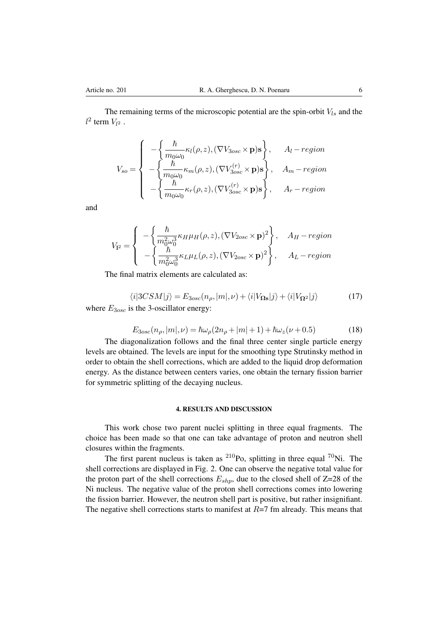The remaining terms of the microscopic potential are the spin-orbit *Vls* and the  $l^2$  term  $V_{l^2}$ .

$$
V_{so} = \begin{cases}\n-\left\{\frac{\hbar}{m_0\omega_0}\kappa_l(\rho,z), (\nabla V_{3osc} \times \mathbf{p})\mathbf{s}\right\}, & A_l - region \\
-\left\{\frac{\hbar}{m_0\omega_0}\kappa_m(\rho,z), (\nabla V_{3osc}^{(r)} \times \mathbf{p})\mathbf{s}\right\}, & A_m - region \\
-\left\{\frac{\hbar}{m_0\omega_0}\kappa_r(\rho,z), (\nabla V_{3osc}^{(r)} \times \mathbf{p})\mathbf{s}\right\}, & A_r - region\n\end{cases}
$$

and

$$
V_{12} = \begin{cases} -\left\{ \frac{\hbar}{m_0^2 \omega_0^3} \kappa_H \mu_H(\rho, z), (\nabla V_{2osc} \times \mathbf{p})^2 \right\}, & A_H - region \\ -\left\{ \frac{\hbar}{m_0^2 \omega_0^3} \kappa_L \mu_L(\rho, z), (\nabla V_{2osc} \times \mathbf{p})^2 \right\}, & A_L - region \end{cases}
$$

The final matrix elements are calculated as:

$$
\langle i|3CSM|j\rangle = E_{3osc}(n_{\rho}, |m|, \nu) + \langle i|V_{\Omega}|\,j\rangle + \langle i|V_{\Omega}|\,j\rangle \tag{17}
$$
\nwhere  $E_{3osc}$  is the 3-oscillator energy:

$$
E_{3osc}(n_{\rho}, |m|, \nu) = \hbar \omega_{\rho} (2n_{\rho} + |m| + 1) + \hbar \omega_{z} (\nu + 0.5)
$$
 (18)

The diagonalization follows and the final three center single particle energy levels are obtained. The levels are input for the smoothing type Strutinsky method in order to obtain the shell corrections, which are added to the liquid drop deformation energy. As the distance between centers varies, one obtain the ternary fission barrier for symmetric splitting of the decaying nucleus.

## 4. RESULTS AND DISCUSSION

This work chose two parent nuclei splitting in three equal fragments. The choice has been made so that one can take advantage of proton and neutron shell closures within the fragments.

The first parent nucleus is taken as  $^{210}$ Po, splitting in three equal  $^{70}$ Ni. The shell corrections are displayed in Fig. 2. One can observe the negative total value for the proton part of the shell corrections  $E_{shp}$ , due to the closed shell of  $Z=28$  of the Ni nucleus. The negative value of the proton shell corrections comes into lowering the fission barrier. However, the neutron shell part is positive, but rather insignifiant. The negative shell corrections starts to manifest at *R*=7 fm already. This means that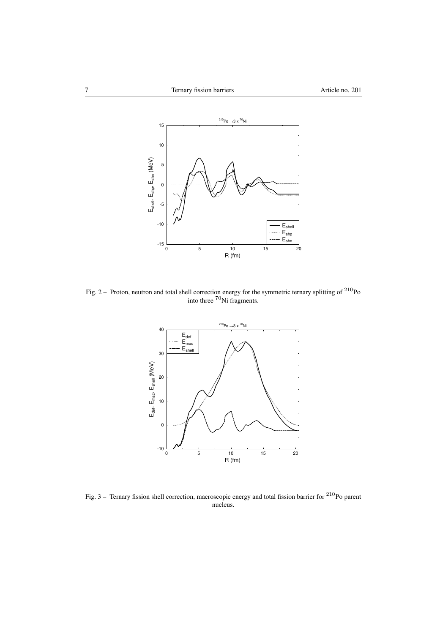

Fig. 2 – Proton, neutron and total shell correction energy for the symmetric ternary splitting of  $^{210}$ Po into three <sup>70</sup>Ni fragments.



Fig. 3 – Ternary fission shell correction, macroscopic energy and total fission barrier for  $^{210}$ Po parent nucleus.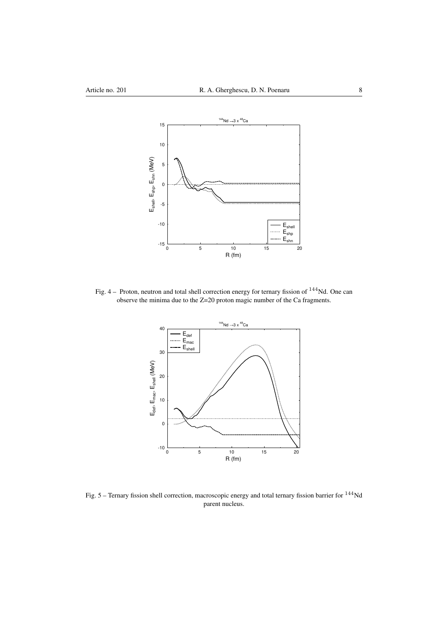

Fig. 4 – Proton, neutron and total shell correction energy for ternary fission of <sup>144</sup>Nd. One can observe the minima due to the Z=20 proton magic number of the Ca fragments.



Fig. 5 – Ternary fission shell correction, macroscopic energy and total ternary fission barrier for <sup>144</sup>Nd parent nucleus.